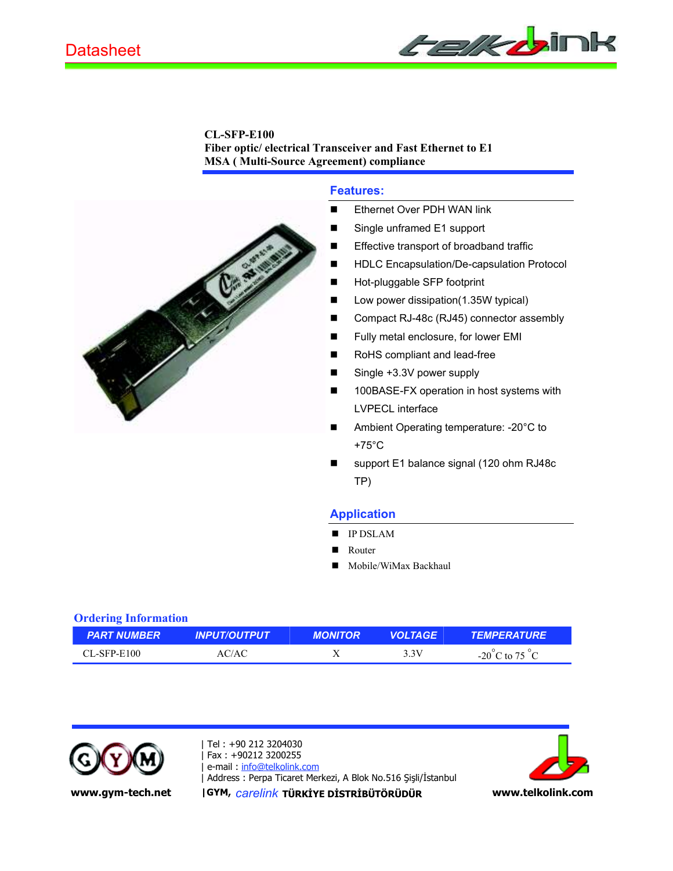

# **Features:**

- **Ethernet Over PDH WAN link**
- Single unframed E1 support
- **Effective transport of broadband traffic**
- HDLC Encapsulation/De-capsulation Protocol
- Hot-pluggable SFP footprint
- Low power dissipation(1.35W typical)
- Compact RJ-48c (RJ45) connector assembly
- Fully metal enclosure, for lower EMI
- RoHS compliant and lead-free
- Single +3.3V power supply
- 100BASE-FX operation in host systems with LVPECL interface
- Ambient Operating temperature: -20°C to +75°C
- support E1 balance signal (120 ohm RJ48c TP)

# **Application**

- **IP DSLAM**
- Router
- **Mobile/WiMax Backhaul**

### **Ordering Information**

| <b>PART NUMBER</b> | <b>INPUT/OUTPUT</b> | <b>MONITOR</b> | <b>/OLTAGE</b> | TURF<br>1 EMP                      |
|--------------------|---------------------|----------------|----------------|------------------------------------|
| $CL-SFP-E100$      | AC/AC               | ∡⊾             | 3.3V           | $-20^{\circ}$ C to 75 $^{\circ}$ C |



| Tel : +90 212 3204030 -Fax: +90212 3200255 e-mail: info@telkolink.com - !"#\$%&'()\*+, -.

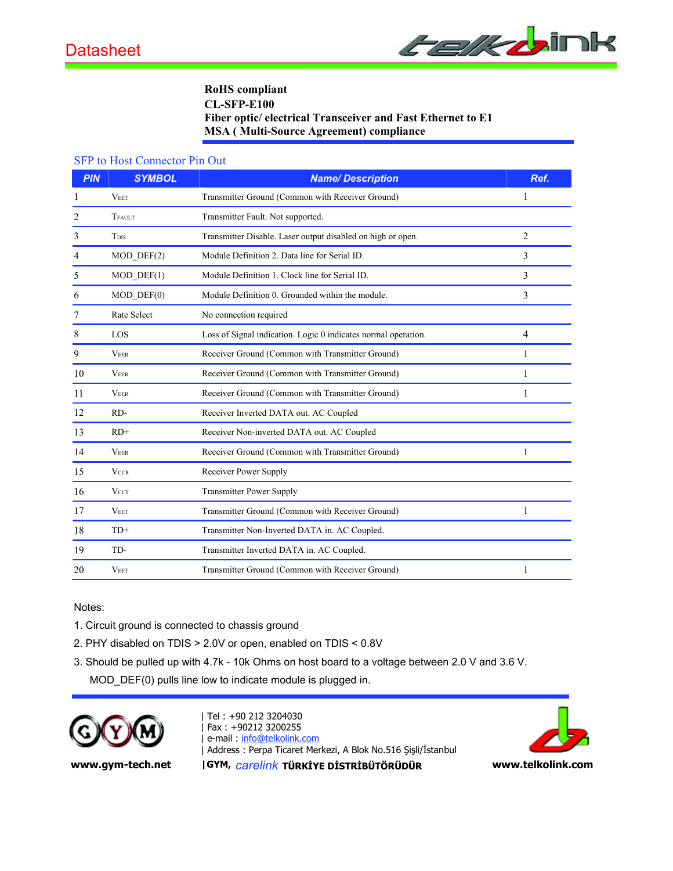

### SFP to Host Connector Pin Out

| <b>PIN</b> | <b>SYMBOL</b>    | <b>Name/Description</b>                                        | Ref.           |
|------------|------------------|----------------------------------------------------------------|----------------|
|            | <b>VEET</b>      | Transmitter Ground (Common with Receiver Ground)               | $\mathbf{1}$   |
| 2          | <b>TFAULT</b>    | Transmitter Fault. Not supported.                              |                |
| 3          | T <sub>DIS</sub> | Transmitter Disable. Laser output disabled on high or open.    | $\overline{2}$ |
| 4          | $MOD_$ DEF(2)    | Module Definition 2. Data line for Serial ID.                  | 3              |
| 5          | $MOD_$ DEF $(1)$ | Module Definition 1. Clock line for Serial ID.                 | 3              |
| 6          | $MOD_$ DEF $(0)$ | Module Definition 0. Grounded within the module.               | 3              |
| 7          | Rate Select      | No connection required                                         |                |
| 8          | LOS              | Loss of Signal indication. Logic 0 indicates normal operation. | $\overline{4}$ |
| 9          | <b>VEER</b>      | Receiver Ground (Common with Transmitter Ground)               | 1              |
| 10         | <b>VEER</b>      | Receiver Ground (Common with Transmitter Ground)               | 1              |
| 11         | <b>VEER</b>      | Receiver Ground (Common with Transmitter Ground)               | 1              |
| 12         | RD-              | Receiver Inverted DATA out. AC Coupled                         |                |
| 13         | $RD+$            | Receiver Non-inverted DATA out. AC Coupled                     |                |
| 14         | <b>VEER</b>      | Receiver Ground (Common with Transmitter Ground)               | 1              |
| 15         | <b>VCCR</b>      | Receiver Power Supply                                          |                |
| 16         | <b>VCCT</b>      | <b>Transmitter Power Supply</b>                                |                |
| 17         | <b>VEET</b>      | Transmitter Ground (Common with Receiver Ground)               | 1              |
| 18         | $TD+$            | Transmitter Non-Inverted DATA in. AC Coupled.                  |                |
| 19         | TD-              | Transmitter Inverted DATA in. AC Coupled.                      |                |
| 20         | <b>VEET</b>      | Transmitter Ground (Common with Receiver Ground)               | 1              |

Notes:

- 1. Circuit ground is connected to chassis ground
- 2. PHY disabled on TDIS > 2.0V or open, enabled on TDIS < 0.8V
- 3. Should be pulled up with 4.7k 10k Ohms on host board to a voltage between 2.0 V and 3.6 V. MOD\_DEF(0) pulls line low to indicate module is plugged in.



| Tel : +90 212 3204030 | Fax : +90212 3200255 e-mail: info@telkolink.com | | Address : Perpa Ticaret Merkezi, A Blok No.516 Şişli/İstanbul North Martin Company (Charles Company) www.gym-tech.net | GYM, carelink TÜRKİYE DİSTRİBÜTÖRÜDÜR

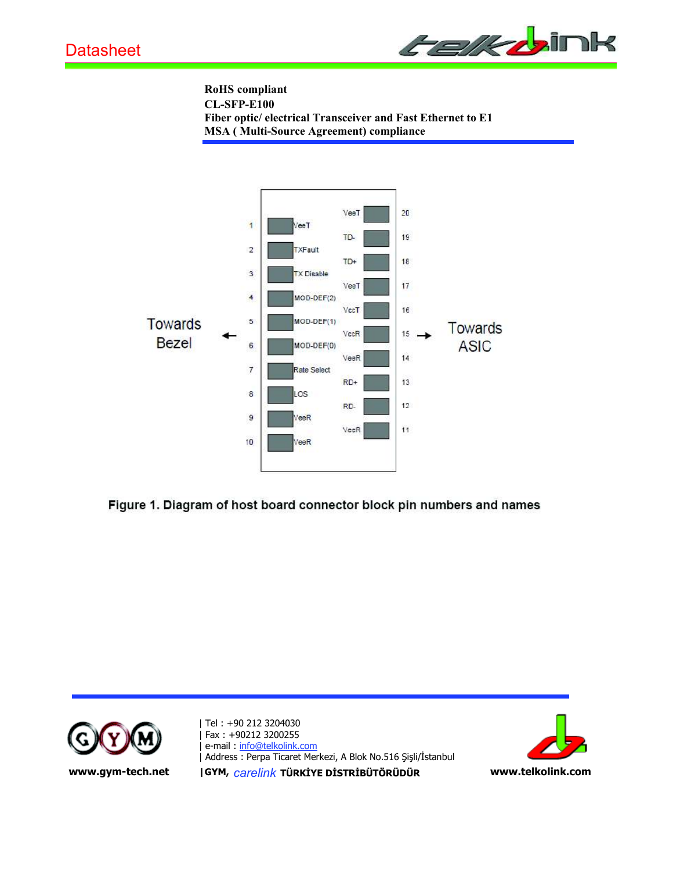



Figure 1. Diagram of host board connector block pin numbers and names



| Tel: +90 212 3204030 Fax: +90212 3200255 e-mail: info@telkolink.com I Address : Perpa Ticaret Merkezi, A Blok No.516 Sisli/İstanbul **IGYM, carelink TÜRKİYE DİSTRİBÜTÖRÜDÜR** 

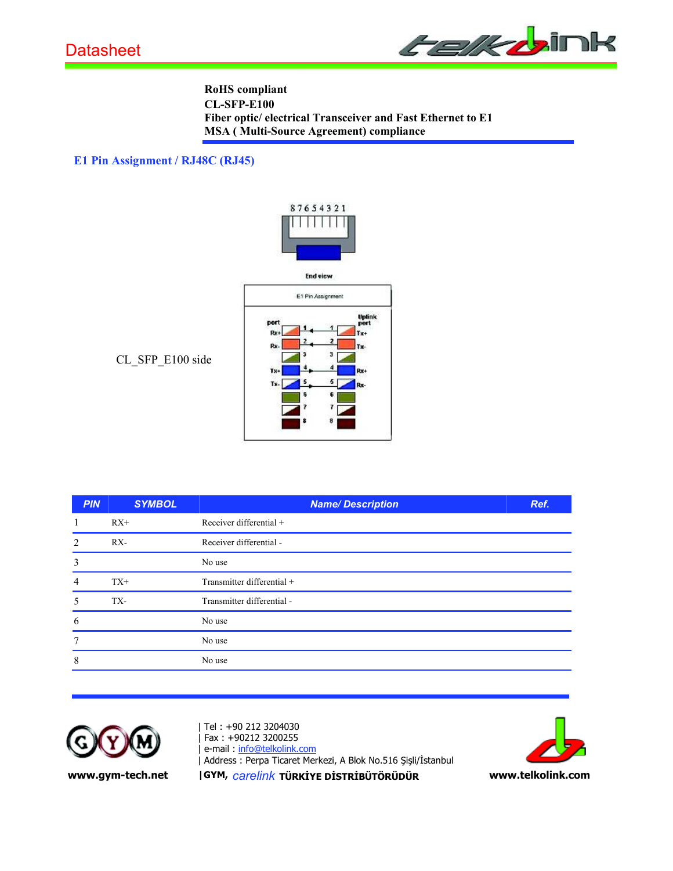

# **E1 Pin Assignment / RJ48C (RJ45)**



CL\_SFP\_E100 side

| <b>PIN</b>     | <b>SYMBOL</b> | <b>Name/Description</b>    | Ref. |
|----------------|---------------|----------------------------|------|
| 1              | $RX+$         | Receiver differential +    |      |
| 2              | RX-           | Receiver differential -    |      |
| 3              |               | No use                     |      |
| $\overline{4}$ | $TX+$         | Transmitter differential + |      |
| 5              | TX-           | Transmitter differential - |      |
| 6              |               | No use                     |      |
| $\tau$         |               | No use                     |      |
| 8              |               | No use                     |      |
|                |               |                            |      |



| Tel : +90 212 3204030 | Fax : +90212 3200255 e-mail: info@telkolink.com | - !"#\$%&'()\*+, -.

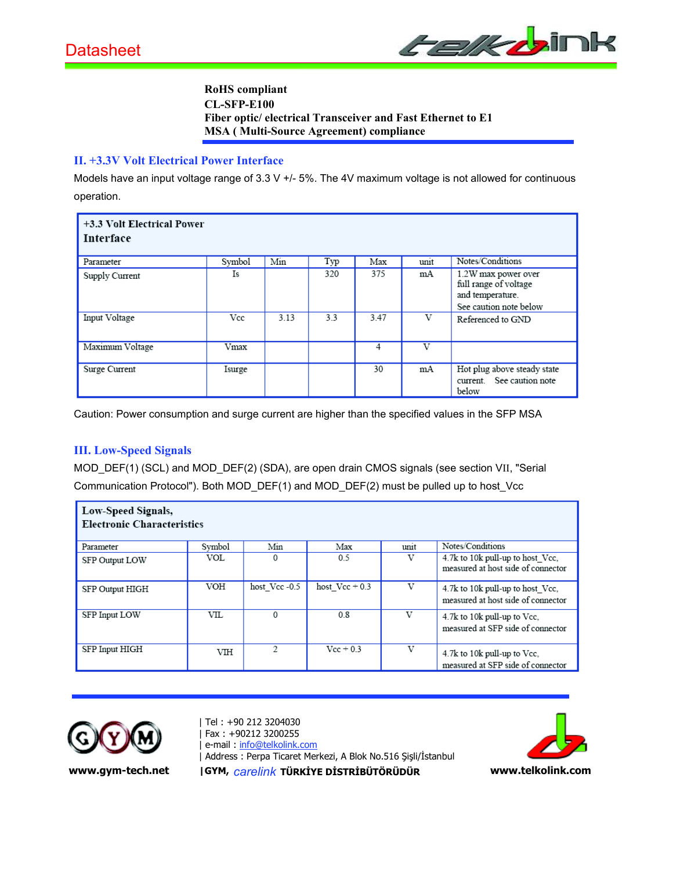

### **II. +3.3V Volt Electrical Power Interface**

Models have an input voltage range of 3.3 V +/- 5%. The 4V maximum voltage is not allowed for continuous operation.

| +3.3 Volt Electrical Power<br>Interface |        |      |     |      |                         |                                                                                            |
|-----------------------------------------|--------|------|-----|------|-------------------------|--------------------------------------------------------------------------------------------|
| Parameter                               | Symbol | Min  | Typ | Max  | unit                    | Notes/Conditions                                                                           |
| Supply Current                          | Is     |      | 320 | 375  | mA                      | 1.2W max power over<br>full range of voltage<br>and temperature.<br>See caution note below |
| Input Voltage                           | Vcc    | 3.13 | 3.3 | 3.47 | v                       | Referenced to GND                                                                          |
| Maximum Voltage                         | Vmax   |      |     | 4    | $\overline{\mathrm{v}}$ |                                                                                            |
| Surge Current                           | Isurge |      |     | 30   | mA                      | Hot plug above steady state<br>current. See caution note<br>below                          |

Caution: Power consumption and surge current are higher than the specified values in the SFP MSA

# **III. Low-Speed Signals**

MOD\_DEF(1) (SCL) and MOD\_DEF(2) (SDA), are open drain CMOS signals (see section VII, "Serial Communication Protocol"). Both MOD\_DEF(1) and MOD\_DEF(2) must be pulled up to host\_Vcc

| Low-Speed Signals,<br><b>Electronic Characteristics</b> |        |               |                  |      |                                                                        |  |  |  |  |
|---------------------------------------------------------|--------|---------------|------------------|------|------------------------------------------------------------------------|--|--|--|--|
| Parameter                                               | Symbol | Min           | Max              | unit | Notes/Conditions                                                       |  |  |  |  |
| SFP Output LOW                                          | VOL    | $\Omega$      | 0.5              | V    | 4.7k to 10k pull-up to host_Vcc,<br>measured at host side of connector |  |  |  |  |
| SFP Output HIGH                                         | VOH    | host Vcc -0.5 | host $Vec + 0.3$ | V    | 4.7k to 10k pull-up to host Vcc,<br>measured at host side of connector |  |  |  |  |
| SFP Input LOW                                           | VIL    | $\Omega$      | 0.8              | V    | 4.7k to 10k pull-up to Vcc.<br>measured at SFP side of connector       |  |  |  |  |
| SFP Input HIGH                                          | VIH    | 2             | $Vec + 0.3$      | V    | 4.7k to 10k pull-up to Vcc.<br>measured at SFP side of connector       |  |  |  |  |



| Tel : +90 212 3204030 -Fax: +90212 3200255 e-mail: info@telkolink.com - !"#\$%&'()\*+, -.

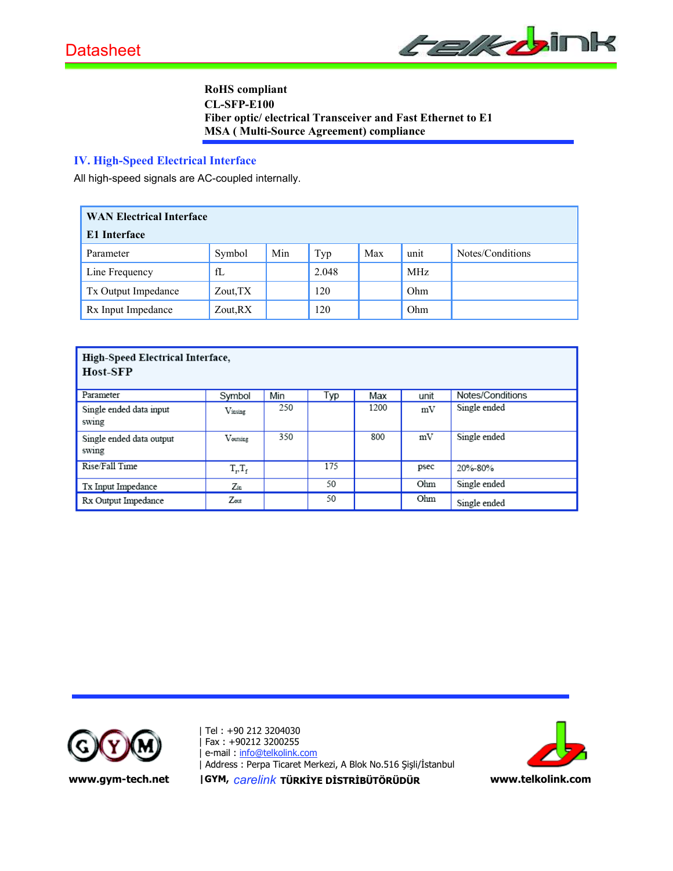

# **IV. High-Speed Electrical Interface**

All high-speed signals are AC-coupled internally.

| <b>WAN Electrical Interface</b> |          |     |       |     |            |                  |  |
|---------------------------------|----------|-----|-------|-----|------------|------------------|--|
| E1 Interface                    |          |     |       |     |            |                  |  |
| Parameter                       | Symbol   | Min | Typ   | Max | unit       | Notes/Conditions |  |
| Line Frequency                  | fL       |     | 2.048 |     | <b>MHz</b> |                  |  |
| Tx Output Impedance             | Zout, TX |     | 120   |     | Ohm        |                  |  |
| Rx Input Impedance              | Zout, RX |     | 120   |     | Ohm        |                  |  |

| High-Speed Electrical Interface,<br>Host-SFP |              |     |     |      |      |                  |  |  |
|----------------------------------------------|--------------|-----|-----|------|------|------------------|--|--|
| Parameter                                    | Symbol       | Min | Typ | Max  | unit | Notes/Conditions |  |  |
| Single ended data input<br>swing             | Vinsing      | 250 |     | 1200 | mV   | Single ended     |  |  |
| Single ended data output<br>swing            | Voutsing     | 350 |     | 800  | mV   | Single ended     |  |  |
| Rise/Fall Time                               | $T_r, T_f$   |     | 175 |      | psec | 20%-80%          |  |  |
| Tx Input Impedance                           | $Z_{\rm in}$ |     | 50  |      | Ohm  | Single ended     |  |  |
| Rx Output Impedance                          | Zout         |     | 50  |      | Ohm  | Single ended     |  |  |



| Tel: +90 212 3204030 Fax: +90212 3200255 e-mail: info@telkolink.com ı | Address : Perpa Ticaret Merkezi, A Blok No.516 Şişli/İstanbul IGYM, carelink TÜRKİYE DİSTRİBÜTÖRÜDÜR



www.gym-tech.net